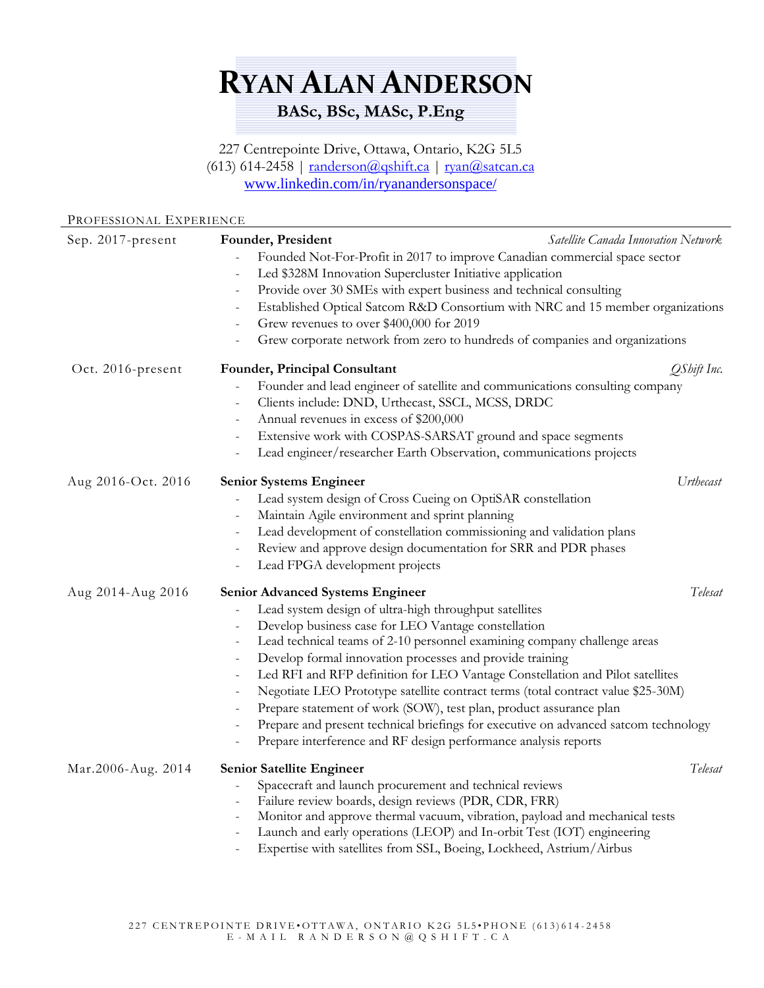## **RYAN ALAN ANDERSON BASc, BSc, MASc, P.Eng**

227 Centrepointe Drive, Ottawa, Ontario, K2G 5L5 (613) 614-2458 |  $randerson@qshift.ca$  |  $ryan@satzan.ca$ [www.linkedin.com/in/ryanandersonspace/](http://www.linkedin.com/in/ryanandersonspace/)

## PROFESSIONAL EXPERIENCE

| Sep. 2017-present  | Satellite Canada Innovation Network<br>Founder, President<br>Founded Not-For-Profit in 2017 to improve Canadian commercial space sector<br>Led \$328M Innovation Supercluster Initiative application<br>Provide over 30 SMEs with expert business and technical consulting<br>$\overline{\phantom{0}}$<br>Established Optical Satcom R&D Consortium with NRC and 15 member organizations<br>$\qquad \qquad -$<br>Grew revenues to over \$400,000 for 2019<br>$\qquad \qquad -$<br>Grew corporate network from zero to hundreds of companies and organizations                                                                                                                                                                                                                                                                                         |             |
|--------------------|-------------------------------------------------------------------------------------------------------------------------------------------------------------------------------------------------------------------------------------------------------------------------------------------------------------------------------------------------------------------------------------------------------------------------------------------------------------------------------------------------------------------------------------------------------------------------------------------------------------------------------------------------------------------------------------------------------------------------------------------------------------------------------------------------------------------------------------------------------|-------------|
| Oct. 2016-present  | Founder, Principal Consultant<br>Founder and lead engineer of satellite and communications consulting company<br>Clients include: DND, Urthecast, SSCL, MCSS, DRDC<br>$\overline{\phantom{0}}$<br>Annual revenues in excess of \$200,000<br>Extensive work with COSPAS-SARSAT ground and space segments<br>Lead engineer/researcher Earth Observation, communications projects                                                                                                                                                                                                                                                                                                                                                                                                                                                                        | QShift Inc. |
| Aug 2016-Oct. 2016 | <b>Senior Systems Engineer</b><br>Lead system design of Cross Cueing on OptiSAR constellation<br>Maintain Agile environment and sprint planning<br>$\qquad \qquad -$<br>Lead development of constellation commissioning and validation plans<br>Review and approve design documentation for SRR and PDR phases<br>$\qquad \qquad -$<br>Lead FPGA development projects                                                                                                                                                                                                                                                                                                                                                                                                                                                                                 | Urthecast   |
| Aug 2014-Aug 2016  | Telesat<br><b>Senior Advanced Systems Engineer</b><br>Lead system design of ultra-high throughput satellites<br>$\qquad \qquad -$<br>Develop business case for LEO Vantage constellation<br>$\qquad \qquad -$<br>Lead technical teams of 2-10 personnel examining company challenge areas<br>$\qquad \qquad -$<br>Develop formal innovation processes and provide training<br>$\qquad \qquad -$<br>Led RFI and RFP definition for LEO Vantage Constellation and Pilot satellites<br>$\qquad \qquad -$<br>Negotiate LEO Prototype satellite contract terms (total contract value \$25-30M)<br>$\overline{\phantom{0}}$<br>Prepare statement of work (SOW), test plan, product assurance plan<br>Prepare and present technical briefings for executive on advanced satcom technology<br>Prepare interference and RF design performance analysis reports |             |
| Mar.2006-Aug. 2014 | Senior Satellite Engineer<br>Spacecraft and launch procurement and technical reviews<br>$\qquad \qquad -$<br>Failure review boards, design reviews (PDR, CDR, FRR)<br>$\qquad \qquad -$<br>Monitor and approve thermal vacuum, vibration, payload and mechanical tests<br>Launch and early operations (LEOP) and In-orbit Test (IOT) engineering<br>Expertise with satellites from SSL, Boeing, Lockheed, Astrium/Airbus                                                                                                                                                                                                                                                                                                                                                                                                                              | Telesat     |